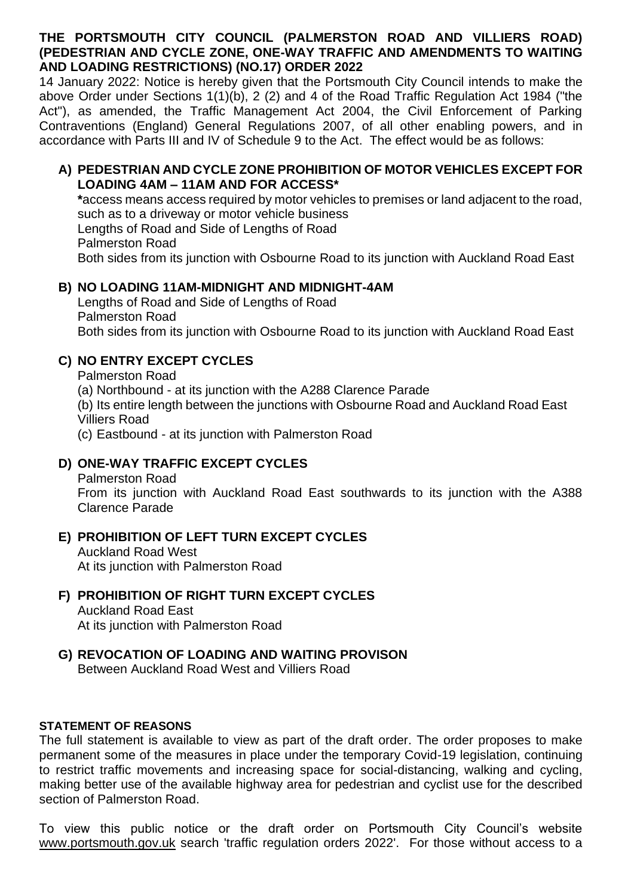#### **THE PORTSMOUTH CITY COUNCIL (PALMERSTON ROAD AND VILLIERS ROAD) (PEDESTRIAN AND CYCLE ZONE, ONE-WAY TRAFFIC AND AMENDMENTS TO WAITING AND LOADING RESTRICTIONS) (NO.17) ORDER 2022**

14 January 2022: Notice is hereby given that the Portsmouth City Council intends to make the above Order under Sections 1(1)(b), 2 (2) and 4 of the Road Traffic Regulation Act 1984 ("the Act"), as amended, the Traffic Management Act 2004, the Civil Enforcement of Parking Contraventions (England) General Regulations 2007, of all other enabling powers, and in accordance with Parts III and IV of Schedule 9 to the Act. The effect would be as follows:

#### **A) PEDESTRIAN AND CYCLE ZONE PROHIBITION OF MOTOR VEHICLES EXCEPT FOR LOADING 4AM – 11AM AND FOR ACCESS\***

**\***access means access required by motor vehicles to premises or land adjacent to the road, such as to a driveway or motor vehicle business Lengths of Road and Side of Lengths of Road Palmerston Road Both sides from its junction with Osbourne Road to its junction with Auckland Road East

#### **B) NO LOADING 11AM-MIDNIGHT AND MIDNIGHT-4AM**

Lengths of Road and Side of Lengths of Road Palmerston Road Both sides from its junction with Osbourne Road to its junction with Auckland Road East

## **C) NO ENTRY EXCEPT CYCLES**

Palmerston Road

(a) Northbound - at its junction with the A288 Clarence Parade

(b) Its entire length between the junctions with Osbourne Road and Auckland Road East Villiers Road

(c) Eastbound - at its junction with Palmerston Road

## **D) ONE-WAY TRAFFIC EXCEPT CYCLES**

Palmerston Road

From its junction with Auckland Road East southwards to its junction with the A388 Clarence Parade

### **E) PROHIBITION OF LEFT TURN EXCEPT CYCLES**

Auckland Road West At its junction with Palmerston Road

# **F) PROHIBITION OF RIGHT TURN EXCEPT CYCLES**

Auckland Road East At its junction with Palmerston Road

## **G) REVOCATION OF LOADING AND WAITING PROVISON**

Between Auckland Road West and Villiers Road

### **STATEMENT OF REASONS**

The full statement is available to view as part of the draft order. The order proposes to make permanent some of the measures in place under the temporary Covid-19 legislation, continuing to restrict traffic movements and increasing space for social-distancing, walking and cycling, making better use of the available highway area for pedestrian and cyclist use for the described section of Palmerston Road.

To view this public notice or the draft order on Portsmouth City Council's website [www.portsmouth.gov.uk](http://www.portsmouth.gov.uk/) search 'traffic regulation orders 2022'. For those without access to a